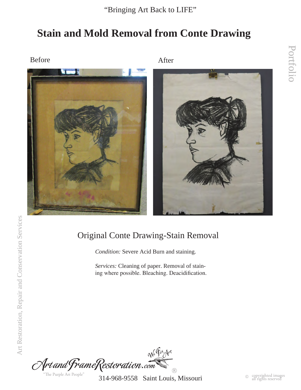## **Stain and Mold Removal from Conte Drawing**

Before After



### Original Conte Drawing-Stain Removal

*Condition:* Severe Acid Burn and staining.

*Services:* Cleaning of paper. Removal of staining where possible. Bleaching. Deacidification.

Ne Fix Art Art and FrameRestoration.com  $\widehat{C}$  $\circledR$ "The Purple Art People"

314-968-9558 Saint Louis, Missouri

Portfolio

Portfolio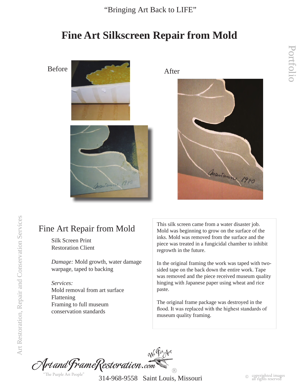## **Fine Art Silkscreen Repair from Mold**





Silk Screen Print Restoration Client

*Damage:* Mold growth, water damage warpage, taped to backing

*Services:* Mold removal from art surface Flattening Framing to full museum conservation standards

Fine Art Repair from Mold This silk screen came from a water disaster job.<br>Mold was beginning to grow on the surface of the Mold was beginning to grow on the surface of the inks. Mold was removed from the surface and the piece was treated in a fungicidal chamber to inhibit regrowth in the future.

> In the original framing the work was taped with twosided tape on the back down the entire work. Tape was removed and the piece received museum quality hinging with Japanese paper using wheat and rice paste.

The original frame package was destroyed in the flood. It was replaced with the highest standards of museum quality framing.

Ne Fix Art Art and FrameRestoration.com "The Purple Art People

314-968-9558 Saint Louis, Missouri

 $\circledR$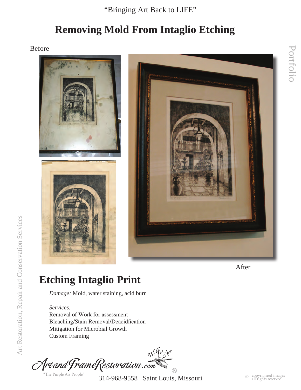## **Removing Mold From Intaglio Etching**

Before





After

# **Etching Intaglio Print**

*Damage:* Mold, water staining, acid burn

*Services:* Removal of Work for assessment Bleaching/Stain Removal/Deacidfication Mitigation for Microbial Growth Custom Framing

We Fix Art Artand FrameRestoration.com  $\circledR$ "The Purple Art People"

314-968-9558 Saint Louis, Missouri